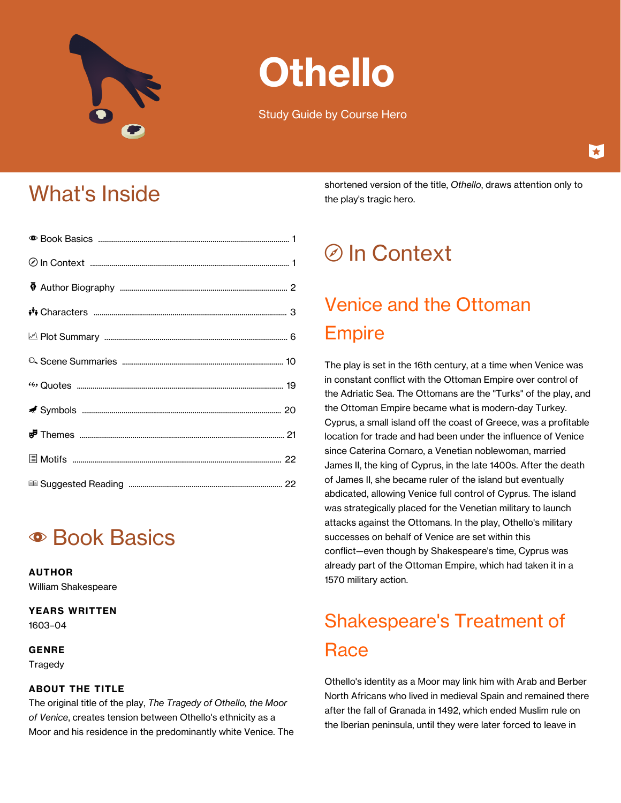

# **Othello**

Study Guide by Course Hero

## What's Inside

## **• Book Basics**

**AUTHOR** William Shakespeare

#### **YEARS WRITTEN**

1603–04

#### **GENRE**

Tragedy

#### **ABOUT THE TITLE**

The original title of the play, *The Tragedy of Othello, the Moor of Venice*, creates tension between Othello's ethnicity as a Moor and his residence in the predominantly white Venice. The shortened version of the title, *Othello*, draws attention only to the play's tragic hero.

## d In Context

## Venice and the Ottoman Empire

The play is set in the 16th century, at a time when Venice was in constant conflict with the Ottoman Empire over control of the Adriatic Sea. The Ottomans are the "Turks" of the play, and the Ottoman Empire became what is modern-day Turkey. Cyprus, a small island off the coast of Greece, was a profitable location for trade and had been under the influence of Venice since Caterina Cornaro, a Venetian noblewoman, married James II, the king of Cyprus, in the late 1400s. After the death of James II, she became ruler of the island but eventually abdicated, allowing Venice full control of Cyprus. The island was strategically placed for the Venetian military to launch attacks against the Ottomans. In the play, Othello's military successes on behalf of Venice are set within this conflict—even though by Shakespeare's time, Cyprus was already part of the Ottoman Empire, which had taken it in a 1570 military action.

## Shakespeare's Treatment of **Race**

Othello's identity as a Moor may link him with Arab and Berber North Africans who lived in medieval Spain and remained there after the fall of Granada in 1492, which ended Muslim rule on the Iberian peninsula, until they were later forced to leave in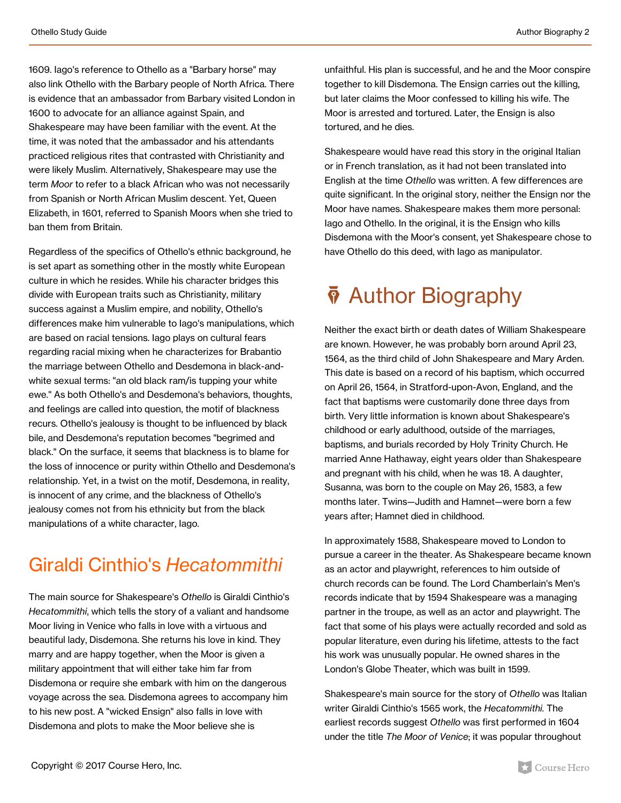1609. Iago's reference to Othello as a "Barbary horse" may also link Othello with the Barbary people of North Africa. There is evidence that an ambassador from Barbary visited London in 1600 to advocate for an alliance against Spain, and Shakespeare may have been familiar with the event. At the time, it was noted that the ambassador and his attendants practiced religious rites that contrasted with Christianity and were likely Muslim. Alternatively, Shakespeare may use the term *Moor* to refer to a black African who was not necessarily from Spanish or North African Muslim descent. Yet, Queen Elizabeth, in 1601, referred to Spanish Moors when she tried to ban them from Britain.

Regardless of the specifics of Othello's ethnic background, he is set apart as something other in the mostly white European culture in which he resides. While his character bridges this divide with European traits such as Christianity, military success against a Muslim empire, and nobility, Othello's differences make him vulnerable to Iago's manipulations, which are based on racial tensions. Iago plays on cultural fears regarding racial mixing when he characterizes for Brabantio the marriage between Othello and Desdemona in black-andwhite sexual terms: "an old black ram/is tupping your white ewe." As both Othello's and Desdemona's behaviors, thoughts, and feelings are called into question, the motif of blackness recurs. Othello's jealousy is thought to be influenced by black bile, and Desdemona's reputation becomes "begrimed and black." On the surface, it seems that blackness is to blame for the loss of innocence or purity within Othello and Desdemona's relationship. Yet, in a twist on the motif, Desdemona, in reality, is innocent of any crime, and the blackness of Othello's jealousy comes not from his ethnicity but from the black manipulations of a white character, Iago.

### Giraldi Cinthio's *Hecatommithi*

The main source for Shakespeare's *Othello* is Giraldi Cinthio's *Hecatommithi*, which tells the story of a valiant and handsome Moor living in Venice who falls in love with a virtuous and beautiful lady, Disdemona. She returns his love in kind. They marry and are happy together, when the Moor is given a military appointment that will either take him far from Disdemona or require she embark with him on the dangerous voyage across the sea. Disdemona agrees to accompany him to his new post. A "wicked Ensign" also falls in love with Disdemona and plots to make the Moor believe she is

unfaithful. His plan is successful, and he and the Moor conspire together to kill Disdemona. The Ensign carries out the killing, but later claims the Moor confessed to killing his wife. The Moor is arrested and tortured. Later, the Ensign is also tortured, and he dies.

Shakespeare would have read this story in the original Italian or in French translation, as it had not been translated into English at the time *Othello* was written. A few differences are quite significant. In the original story, neither the Ensign nor the Moor have names. Shakespeare makes them more personal: Iago and Othello. In the original, it is the Ensign who kills Disdemona with the Moor's consent, yet Shakespeare chose to have Othello do this deed, with Iago as manipulator.

## $\bar{\phi}$  Author Biography

Neither the exact birth or death dates of William Shakespeare are known. However, he was probably born around April 23, 1564, as the third child of John Shakespeare and Mary Arden. This date is based on a record of his baptism, which occurred on April 26, 1564, in Stratford-upon-Avon, England, and the fact that baptisms were customarily done three days from birth. Very little information is known about Shakespeare's childhood or early adulthood, outside of the marriages, baptisms, and burials recorded by Holy Trinity Church. He married Anne Hathaway, eight years older than Shakespeare and pregnant with his child, when he was 18. A daughter, Susanna, was born to the couple on May 26, 1583, a few months later. Twins—Judith and Hamnet—were born a few years after; Hamnet died in childhood.

In approximately 1588, Shakespeare moved to London to pursue a career in the theater. As Shakespeare became known as an actor and playwright, references to him outside of church records can be found. The Lord Chamberlain's Men's records indicate that by 1594 Shakespeare was a managing partner in the troupe, as well as an actor and playwright. The fact that some of his plays were actually recorded and sold as popular literature, even during his lifetime, attests to the fact his work was unusually popular. He owned shares in the London's Globe Theater, which was built in 1599.

Shakespeare's main source for the story of *Othello* was Italian writer Giraldi Cinthio's 1565 work, the *Hecatommithi.* The earliest records suggest *Othello* was first performed in 1604 under the title *The Moor of Venice*; it was popular throughout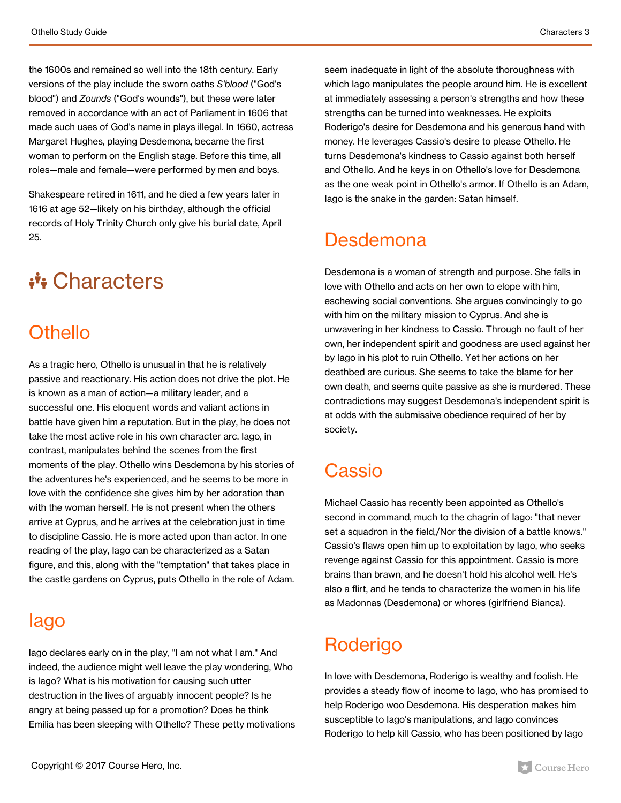the 1600s and remained so well into the 18th century. Early versions of the play include the sworn oaths *S'blood* ("God's blood") and *Zounds* ("God's wounds"), but these were later removed in accordance with an act of Parliament in 1606 that made such uses of God's name in plays illegal. In 1660, actress Margaret Hughes, playing Desdemona, became the first woman to perform on the English stage. Before this time, all roles—male and female—were performed by men and boys.

Shakespeare retired in 1611, and he died a few years later in 1616 at age 52—likely on his birthday, although the official records of Holy Trinity Church only give his burial date, April 25.

## \*\*\* Characters

### **Othello**

As a tragic hero, Othello is unusual in that he is relatively passive and reactionary. His action does not drive the plot. He is known as a man of action—a military leader, and a successful one. His eloquent words and valiant actions in battle have given him a reputation. But in the play, he does not take the most active role in his own character arc. Iago, in contrast, manipulates behind the scenes from the first moments of the play. Othello wins Desdemona by his stories of the adventures he's experienced, and he seems to be more in love with the confidence she gives him by her adoration than with the woman herself. He is not present when the others arrive at Cyprus, and he arrives at the celebration just in time to discipline Cassio. He is more acted upon than actor. In one reading of the play, Iago can be characterized as a Satan figure, and this, along with the "temptation" that takes place in the castle gardens on Cyprus, puts Othello in the role of Adam.

### Iago

Iago declares early on in the play, "I am not what I am." And indeed, the audience might well leave the play wondering, Who is Iago? What is his motivation for causing such utter destruction in the lives of arguably innocent people? Is he angry at being passed up for a promotion? Does he think Emilia has been sleeping with Othello? These petty motivations

seem inadequate in light of the absolute thoroughness with which Iago manipulates the people around him. He is excellent at immediately assessing a person's strengths and how these strengths can be turned into weaknesses. He exploits Roderigo's desire for Desdemona and his generous hand with money. He leverages Cassio's desire to please Othello. He turns Desdemona's kindness to Cassio against both herself and Othello. And he keys in on Othello's love for Desdemona as the one weak point in Othello's armor. If Othello is an Adam, Iago is the snake in the garden: Satan himself.

### Desdemona

Desdemona is a woman of strength and purpose. She falls in love with Othello and acts on her own to elope with him, eschewing social conventions. She argues convincingly to go with him on the military mission to Cyprus. And she is unwavering in her kindness to Cassio. Through no fault of her own, her independent spirit and goodness are used against her by Iago in his plot to ruin Othello. Yet her actions on her deathbed are curious. She seems to take the blame for her own death, and seems quite passive as she is murdered. These contradictions may suggest Desdemona's independent spirit is at odds with the submissive obedience required of her by society.

## **Cassio**

Michael Cassio has recently been appointed as Othello's second in command, much to the chagrin of Iago: "that never set a squadron in the field,/Nor the division of a battle knows." Cassio's flaws open him up to exploitation by Iago, who seeks revenge against Cassio for this appointment. Cassio is more brains than brawn, and he doesn't hold his alcohol well. He's also a flirt, and he tends to characterize the women in his life as Madonnas (Desdemona) or whores (girlfriend Bianca).

## Roderigo

In love with Desdemona, Roderigo is wealthy and foolish. He provides a steady flow of income to Iago, who has promised to help Roderigo woo Desdemona. His desperation makes him susceptible to Iago's manipulations, and Iago convinces Roderigo to help kill Cassio, who has been positioned by Iago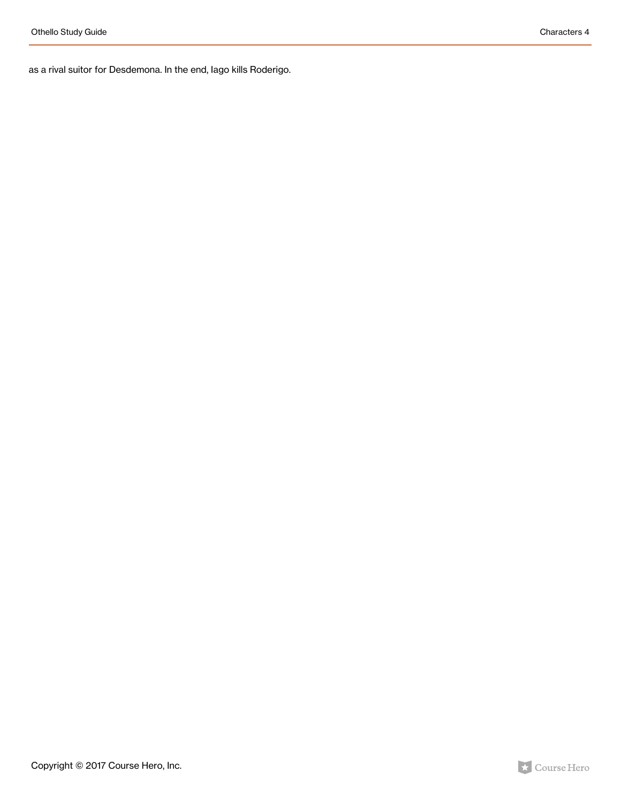as a rival suitor for Desdemona. In the end, Iago kills Roderigo.

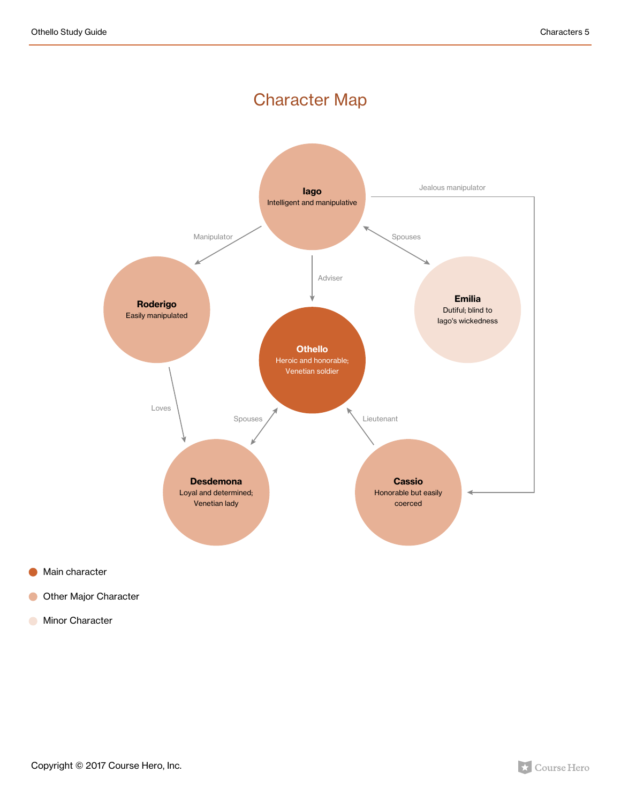### Character Map



Main character

Other Major Character  $\bullet$ 

**Minor Character** 

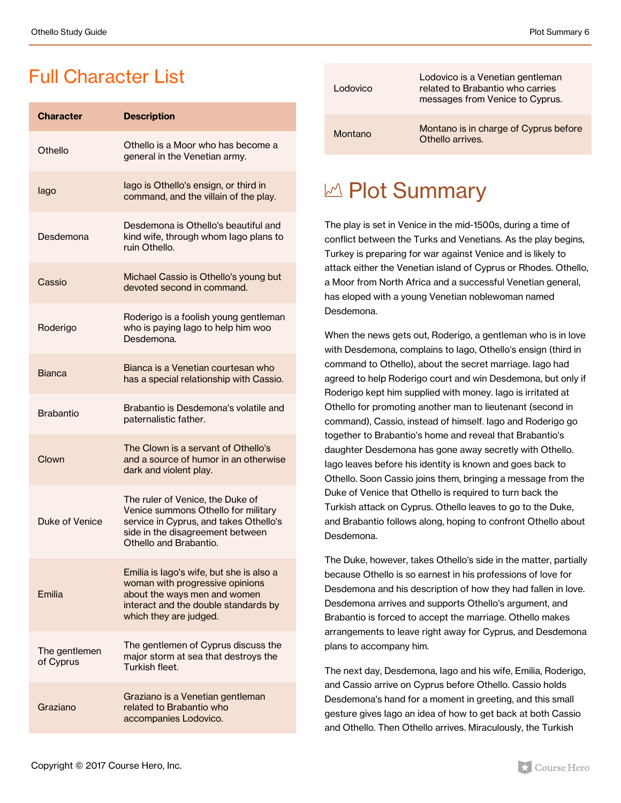### Full Character List

| <b>Character</b>           | <b>Description</b>                                                                                                                                                              |
|----------------------------|---------------------------------------------------------------------------------------------------------------------------------------------------------------------------------|
| Othello                    | Othello is a Moor who has become a<br>general in the Venetian army.                                                                                                             |
| lago                       | lago is Othello's ensign, or third in<br>command, and the villain of the play.                                                                                                  |
| Desdemona                  | Desdemona is Othello's beautiful and<br>kind wife, through whom lago plans to<br>ruin Othello.                                                                                  |
| Cassio                     | Michael Cassio is Othello's young but<br>devoted second in command.                                                                                                             |
| Roderigo                   | Roderigo is a foolish young gentleman<br>who is paying lago to help him woo<br>Desdemona.                                                                                       |
| <b>Bianca</b>              | Bianca is a Venetian courtesan who<br>has a special relationship with Cassio.                                                                                                   |
| <b>Brabantio</b>           | Brabantio is Desdemona's volatile and<br>paternalistic father.                                                                                                                  |
| Clown                      | The Clown is a servant of Othello's<br>and a source of humor in an otherwise<br>dark and violent play.                                                                          |
| Duke of Venice             | The ruler of Venice, the Duke of<br>Venice summons Othello for military<br>service in Cyprus, and takes Othello's<br>side in the disagreement between<br>Othello and Brabantio. |
| Emilia                     | Emilia is lago's wife, but she is also a<br>woman with progressive opinions<br>about the ways men and women<br>interact and the double standards by<br>which they are judged.   |
| The gentlemen<br>of Cyprus | The gentlemen of Cyprus discuss the<br>major storm at sea that destroys the<br>Turkish fleet.                                                                                   |
| Graziano                   | Graziano is a Venetian gentleman<br>related to Brabantio who<br>accompanies Lodovico.                                                                                           |

| Lodovico       | Lodovico is a Venetian gentleman<br>related to Brabantio who carries<br>messages from Venice to Cyprus. |
|----------------|---------------------------------------------------------------------------------------------------------|
| <b>Montano</b> | Montano is in charge of Cyprus before<br>Othello arrives.                                               |

## M Plot Summary

The play is set in Venice in the mid-1500s, during a time of conflict between the Turks and Venetians. As the play begins, Turkey is preparing for war against Venice and is likely to attack either the Venetian island of Cyprus or Rhodes. Othello, a Moor from North Africa and a successful Venetian general, has eloped with a young Venetian noblewoman named Desdemona.

When the news gets out, Roderigo, a gentleman who is in love with Desdemona, complains to Iago, Othello's ensign (third in command to Othello), about the secret marriage. Iago had agreed to help Roderigo court and win Desdemona, but only if Roderigo kept him supplied with money. Iago is irritated at Othello for promoting another man to lieutenant (second in command), Cassio, instead of himself. Iago and Roderigo go together to Brabantio's home and reveal that Brabantio's daughter Desdemona has gone away secretly with Othello. Iago leaves before his identity is known and goes back to Othello. Soon Cassio joins them, bringing a message from the Duke of Venice that Othello is required to turn back the Turkish attack on Cyprus. Othello leaves to go to the Duke, and Brabantio follows along, hoping to confront Othello about Desdemona.

The Duke, however, takes Othello's side in the matter, partially because Othello is so earnest in his professions of love for Desdemona and his description of how they had fallen in love. Desdemona arrives and supports Othello's argument, and Brabantio is forced to accept the marriage. Othello makes arrangements to leave right away for Cyprus, and Desdemona plans to accompany him.

The next day, Desdemona, Iago and his wife, Emilia, Roderigo, and Cassio arrive on Cyprus before Othello. Cassio holds Desdemona's hand for a moment in greeting, and this small gesture gives Iago an idea of how to get back at both Cassio and Othello. Then Othello arrives. Miraculously, the Turkish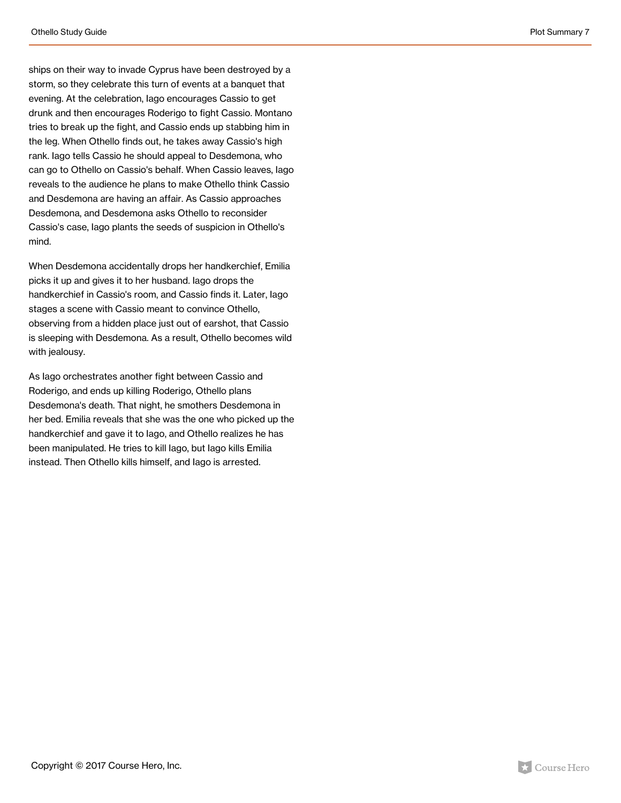ships on their way to invade Cyprus have been destroyed by a storm, so they celebrate this turn of events at a banquet that evening. At the celebration, Iago encourages Cassio to get drunk and then encourages Roderigo to fight Cassio. Montano tries to break up the fight, and Cassio ends up stabbing him in the leg. When Othello finds out, he takes away Cassio's high rank. Iago tells Cassio he should appeal to Desdemona, who can go to Othello on Cassio's behalf. When Cassio leaves, Iago reveals to the audience he plans to make Othello think Cassio and Desdemona are having an affair. As Cassio approaches Desdemona, and Desdemona asks Othello to reconsider Cassio's case, Iago plants the seeds of suspicion in Othello's mind.

When Desdemona accidentally drops her handkerchief, Emilia picks it up and gives it to her husband. Iago drops the handkerchief in Cassio's room, and Cassio finds it. Later, Iago stages a scene with Cassio meant to convince Othello, observing from a hidden place just out of earshot, that Cassio is sleeping with Desdemona. As a result, Othello becomes wild with jealousy.

As Iago orchestrates another fight between Cassio and Roderigo, and ends up killing Roderigo, Othello plans Desdemona's death. That night, he smothers Desdemona in her bed. Emilia reveals that she was the one who picked up the handkerchief and gave it to Iago, and Othello realizes he has been manipulated. He tries to kill Iago, but Iago kills Emilia instead. Then Othello kills himself, and Iago is arrested.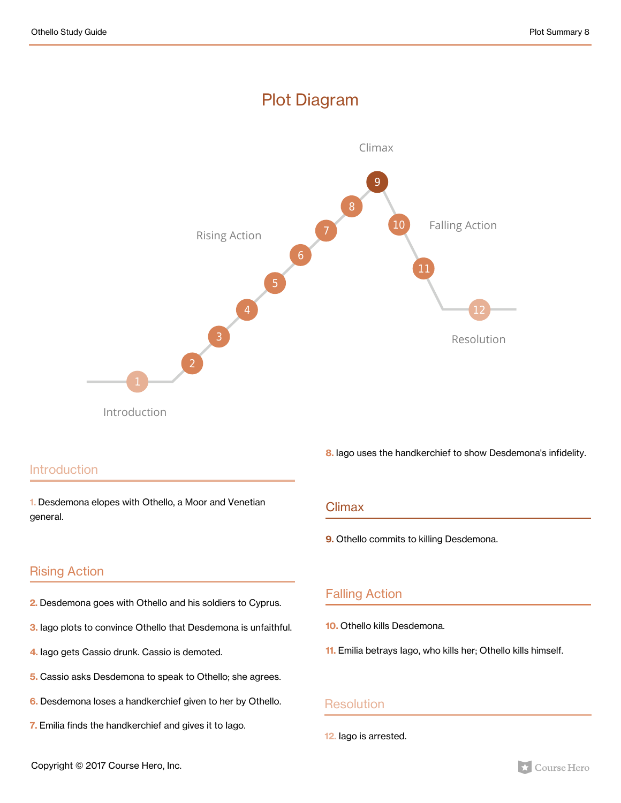#### Plot Diagram



#### **Introduction**

**1.** Desdemona elopes with Othello, a Moor and Venetian general.

**8.** Iago uses the handkerchief to show Desdemona's infidelity.

#### **Climax**

**9.** Othello commits to killing Desdemona.

#### Rising Action

- **2.** Desdemona goes with Othello and his soldiers to Cyprus.
- **3.** Iago plots to convince Othello that Desdemona is unfaithful.
- **4.** Iago gets Cassio drunk. Cassio is demoted.
- **5.** Cassio asks Desdemona to speak to Othello; she agrees.
- **6.** Desdemona loses a handkerchief given to her by Othello.
- **7.** Emilia finds the handkerchief and gives it to Iago.

#### Falling Action

- **10.** Othello kills Desdemona.
- **11.** Emilia betrays Iago, who kills her; Othello kills himself.

#### **Resolution**

**12.** Iago is arrested.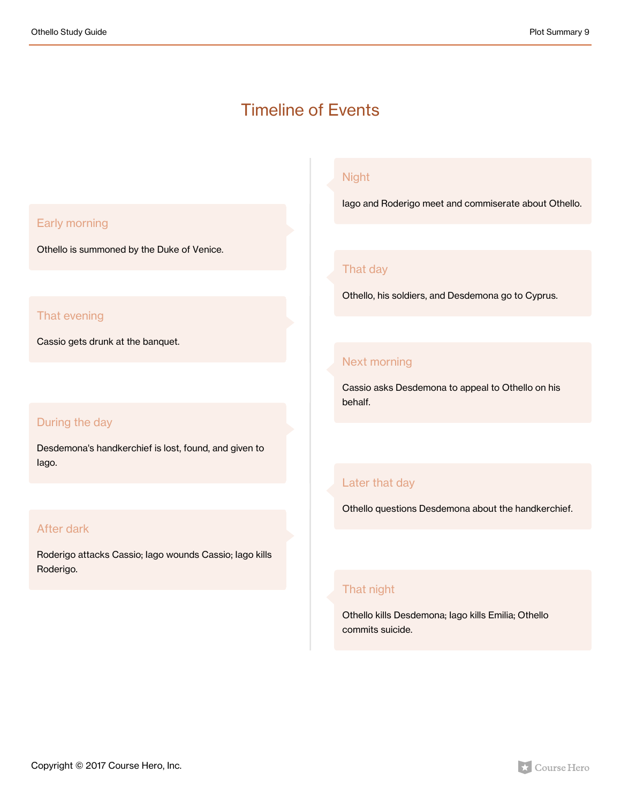### Timeline of Events

#### Early morning

Othello is summoned by the Duke of Venice.

#### That evening

Cassio gets drunk at the banquet.

#### During the day

Desdemona's handkerchief is lost, found, and given to Iago.

#### After dark

Roderigo attacks Cassio; Iago wounds Cassio; Iago kills Roderigo.

#### Night

Iago and Roderigo meet and commiserate about Othello.

#### That day

Othello, his soldiers, and Desdemona go to Cyprus.

#### Next morning

Cassio asks Desdemona to appeal to Othello on his behalf.

#### Later that day

Othello questions Desdemona about the handkerchief.

#### That night

Othello kills Desdemona; Iago kills Emilia; Othello commits suicide.

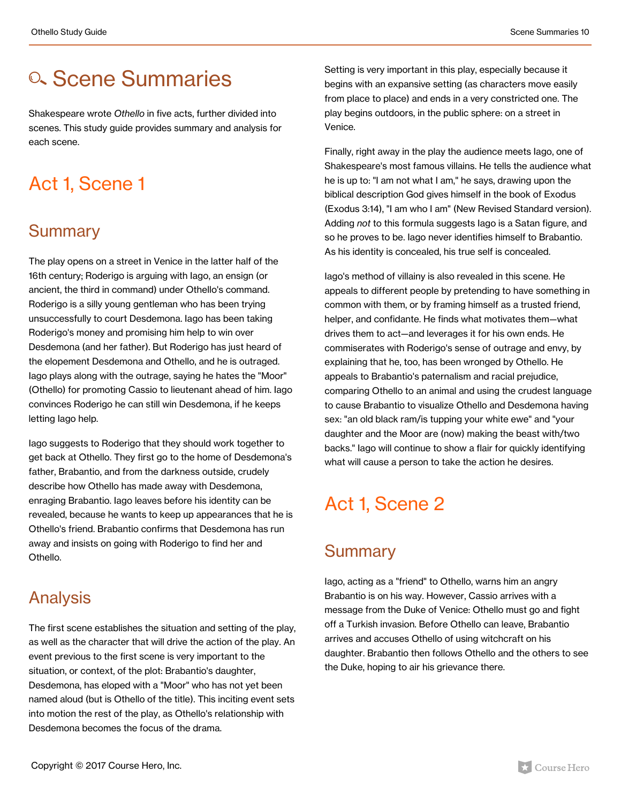## **a. Scene Summaries**

Shakespeare wrote *Othello* in five acts, further divided into scenes. This study guide provides summary and analysis for each scene.

## Act 1, Scene 1

### Summary

The play opens on a street in Venice in the latter half of the 16th century; Roderigo is arguing with Iago, an ensign (or ancient, the third in command) under Othello's command. Roderigo is a silly young gentleman who has been trying unsuccessfully to court Desdemona. Iago has been taking Roderigo's money and promising him help to win over Desdemona (and her father). But Roderigo has just heard of the elopement Desdemona and Othello, and he is outraged. Iago plays along with the outrage, saying he hates the "Moor" (Othello) for promoting Cassio to lieutenant ahead of him. Iago convinces Roderigo he can still win Desdemona, if he keeps letting Iago help.

Iago suggests to Roderigo that they should work together to get back at Othello. They first go to the home of Desdemona's father, Brabantio, and from the darkness outside, crudely describe how Othello has made away with Desdemona, enraging Brabantio. Iago leaves before his identity can be revealed, because he wants to keep up appearances that he is Othello's friend. Brabantio confirms that Desdemona has run away and insists on going with Roderigo to find her and Othello.

### Analysis

The first scene establishes the situation and setting of the play, as well as the character that will drive the action of the play. An event previous to the first scene is very important to the situation, or context, of the plot: Brabantio's daughter, Desdemona, has eloped with a "Moor" who has not yet been named aloud (but is Othello of the title). This inciting event sets into motion the rest of the play, as Othello's relationship with Desdemona becomes the focus of the drama.

Setting is very important in this play, especially because it begins with an expansive setting (as characters move easily from place to place) and ends in a very constricted one. The play begins outdoors, in the public sphere: on a street in Venice.

Finally, right away in the play the audience meets Iago, one of Shakespeare's most famous villains. He tells the audience what he is up to: "I am not what I am," he says, drawing upon the biblical description God gives himself in the book of Exodus (Exodus 3:14), "I am who I am" (New Revised Standard version). Adding *not* to this formula suggests Iago is a Satan figure, and so he proves to be. Iago never identifies himself to Brabantio. As his identity is concealed, his true self is concealed.

Iago's method of villainy is also revealed in this scene. He appeals to different people by pretending to have something in common with them, or by framing himself as a trusted friend, helper, and confidante. He finds what motivates them—what drives them to act—and leverages it for his own ends. He commiserates with Roderigo's sense of outrage and envy, by explaining that he, too, has been wronged by Othello. He appeals to Brabantio's paternalism and racial prejudice, comparing Othello to an animal and using the crudest language to cause Brabantio to visualize Othello and Desdemona having sex: "an old black ram/is tupping your white ewe" and "your daughter and the Moor are (now) making the beast with/two backs." Iago will continue to show a flair for quickly identifying what will cause a person to take the action he desires.

## Act 1, Scene 2

### **Summary**

Iago, acting as a "friend" to Othello, warns him an angry Brabantio is on his way. However, Cassio arrives with a message from the Duke of Venice: Othello must go and fight off a Turkish invasion. Before Othello can leave, Brabantio arrives and accuses Othello of using witchcraft on his daughter. Brabantio then follows Othello and the others to see the Duke, hoping to air his grievance there.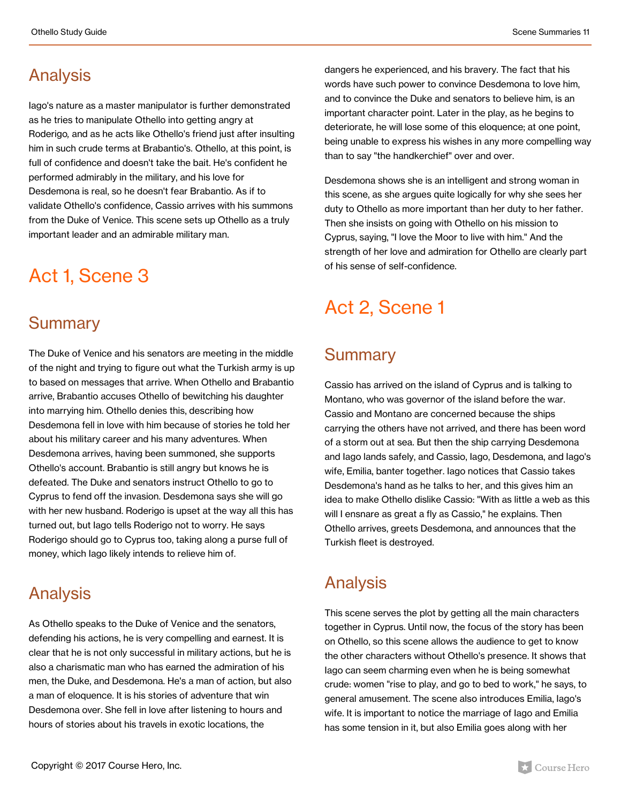### Analysis

Iago's nature as a master manipulator is further demonstrated as he tries to manipulate Othello into getting angry at Roderigo*,* and as he acts like Othello's friend just after insulting him in such crude terms at Brabantio's. Othello, at this point, is full of confidence and doesn't take the bait. He's confident he performed admirably in the military, and his love for Desdemona is real, so he doesn't fear Brabantio. As if to validate Othello's confidence, Cassio arrives with his summons from the Duke of Venice. This scene sets up Othello as a truly important leader and an admirable military man.

### Act 1, Scene 3

#### **Summary**

The Duke of Venice and his senators are meeting in the middle of the night and trying to figure out what the Turkish army is up to based on messages that arrive. When Othello and Brabantio arrive, Brabantio accuses Othello of bewitching his daughter into marrying him. Othello denies this, describing how Desdemona fell in love with him because of stories he told her about his military career and his many adventures. When Desdemona arrives, having been summoned, she supports Othello's account. Brabantio is still angry but knows he is defeated. The Duke and senators instruct Othello to go to Cyprus to fend off the invasion. Desdemona says she will go with her new husband. Roderigo is upset at the way all this has turned out, but Iago tells Roderigo not to worry. He says Roderigo should go to Cyprus too, taking along a purse full of money, which Iago likely intends to relieve him of.

#### Analysis

As Othello speaks to the Duke of Venice and the senators, defending his actions, he is very compelling and earnest. It is clear that he is not only successful in military actions, but he is also a charismatic man who has earned the admiration of his men, the Duke, and Desdemona. He's a man of action, but also a man of eloquence. It is his stories of adventure that win Desdemona over. She fell in love after listening to hours and hours of stories about his travels in exotic locations, the

dangers he experienced, and his bravery. The fact that his words have such power to convince Desdemona to love him, and to convince the Duke and senators to believe him, is an important character point. Later in the play, as he begins to deteriorate, he will lose some of this eloquence; at one point, being unable to express his wishes in any more compelling way than to say "the handkerchief" over and over.

Desdemona shows she is an intelligent and strong woman in this scene, as she argues quite logically for why she sees her duty to Othello as more important than her duty to her father. Then she insists on going with Othello on his mission to Cyprus, saying, "I love the Moor to live with him." And the strength of her love and admiration for Othello are clearly part of his sense of self-confidence.

### Act 2, Scene 1

### **Summary**

Cassio has arrived on the island of Cyprus and is talking to Montano, who was governor of the island before the war. Cassio and Montano are concerned because the ships carrying the others have not arrived, and there has been word of a storm out at sea. But then the ship carrying Desdemona and Iago lands safely, and Cassio, Iago, Desdemona, and Iago's wife, Emilia, banter together. Iago notices that Cassio takes Desdemona's hand as he talks to her, and this gives him an idea to make Othello dislike Cassio: "With as little a web as this will I ensnare as great a fly as Cassio," he explains. Then Othello arrives, greets Desdemona, and announces that the Turkish fleet is destroyed.

### Analysis

This scene serves the plot by getting all the main characters together in Cyprus. Until now, the focus of the story has been on Othello, so this scene allows the audience to get to know the other characters without Othello's presence. It shows that Iago can seem charming even when he is being somewhat crude: women "rise to play, and go to bed to work," he says, to general amusement. The scene also introduces Emilia, Iago's wife. It is important to notice the marriage of Iago and Emilia has some tension in it, but also Emilia goes along with her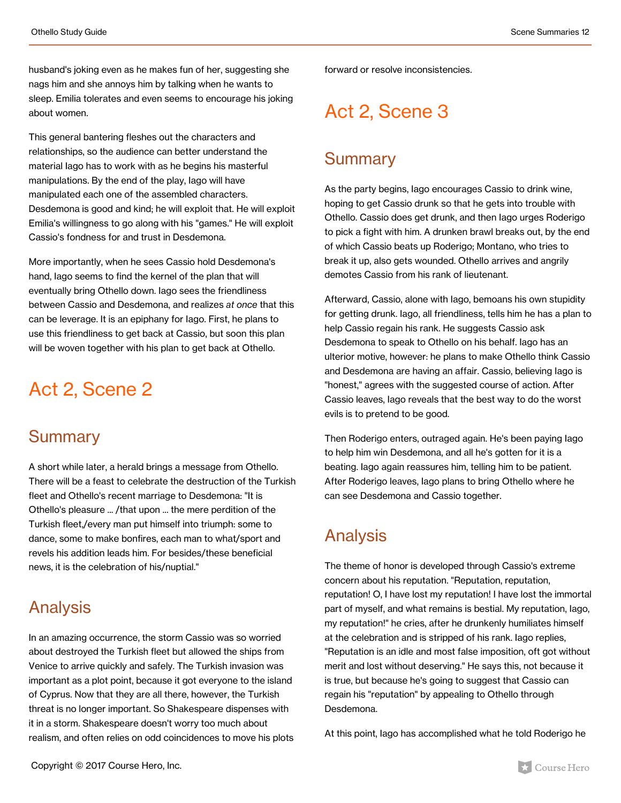husband's joking even as he makes fun of her, suggesting she nags him and she annoys him by talking when he wants to sleep. Emilia tolerates and even seems to encourage his joking about women.

This general bantering fleshes out the characters and relationships, so the audience can better understand the material Iago has to work with as he begins his masterful manipulations. By the end of the play, Iago will have manipulated each one of the assembled characters. Desdemona is good and kind; he will exploit that. He will exploit Emilia's willingness to go along with his "games." He will exploit Cassio's fondness for and trust in Desdemona.

More importantly, when he sees Cassio hold Desdemona's hand, Iago seems to find the kernel of the plan that will eventually bring Othello down. Iago sees the friendliness between Cassio and Desdemona, and realizes *at once* that this can be leverage. It is an epiphany for Iago. First, he plans to use this friendliness to get back at Cassio, but soon this plan will be woven together with his plan to get back at Othello.

### Act 2, Scene 2

#### **Summary**

A short while later, a herald brings a message from Othello. There will be a feast to celebrate the destruction of the Turkish fleet and Othello's recent marriage to Desdemona: "It is Othello's pleasure ... /that upon ... the mere perdition of the Turkish fleet,/every man put himself into triumph: some to dance, some to make bonfires, each man to what/sport and revels his addition leads him. For besides/these beneficial news, it is the celebration of his/nuptial."

### Analysis

In an amazing occurrence, the storm Cassio was so worried about destroyed the Turkish fleet but allowed the ships from Venice to arrive quickly and safely. The Turkish invasion was important as a plot point, because it got everyone to the island of Cyprus. Now that they are all there, however, the Turkish threat is no longer important. So Shakespeare dispenses with it in a storm. Shakespeare doesn't worry too much about realism, and often relies on odd coincidences to move his plots forward or resolve inconsistencies.

## Act 2, Scene 3

#### **Summary**

As the party begins, Iago encourages Cassio to drink wine, hoping to get Cassio drunk so that he gets into trouble with Othello. Cassio does get drunk, and then Iago urges Roderigo to pick a fight with him. A drunken brawl breaks out, by the end of which Cassio beats up Roderigo; Montano, who tries to break it up, also gets wounded. Othello arrives and angrily demotes Cassio from his rank of lieutenant.

Afterward, Cassio, alone with Iago, bemoans his own stupidity for getting drunk. Iago, all friendliness, tells him he has a plan to help Cassio regain his rank. He suggests Cassio ask Desdemona to speak to Othello on his behalf. Iago has an ulterior motive, however: he plans to make Othello think Cassio and Desdemona are having an affair. Cassio, believing Iago is "honest," agrees with the suggested course of action. After Cassio leaves, Iago reveals that the best way to do the worst evils is to pretend to be good.

Then Roderigo enters, outraged again. He's been paying Iago to help him win Desdemona, and all he's gotten for it is a beating. Iago again reassures him, telling him to be patient. After Roderigo leaves, Iago plans to bring Othello where he can see Desdemona and Cassio together.

### Analysis

The theme of honor is developed through Cassio's extreme concern about his reputation. "Reputation, reputation, reputation! O, I have lost my reputation! I have lost the immortal part of myself, and what remains is bestial. My reputation, Iago, my reputation!" he cries, after he drunkenly humiliates himself at the celebration and is stripped of his rank. Iago replies, "Reputation is an idle and most false imposition, oft got without merit and lost without deserving." He says this, not because it is true, but because he's going to suggest that Cassio can regain his "reputation" by appealing to Othello through Desdemona.

At this point, Iago has accomplished what he told Roderigo he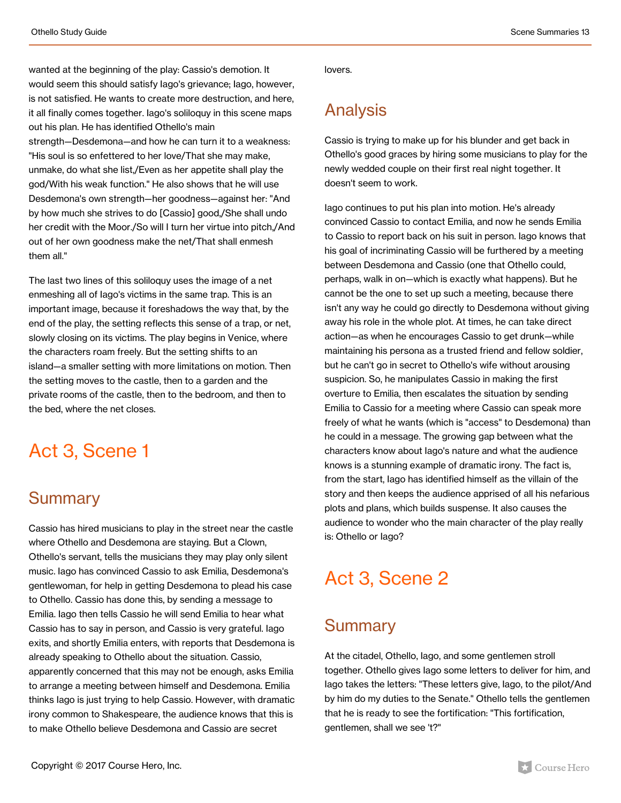wanted at the beginning of the play: Cassio's demotion. It would seem this should satisfy Iago's grievance; Iago, however, is not satisfied. He wants to create more destruction, and here, it all finally comes together. Iago's soliloquy in this scene maps out his plan. He has identified Othello's main strength—Desdemona—and how he can turn it to a weakness: "His soul is so enfettered to her love/That she may make, unmake, do what she list,/Even as her appetite shall play the god/With his weak function." He also shows that he will use Desdemona's own strength—her goodness—against her: "And by how much she strives to do [Cassio] good,/She shall undo her credit with the Moor./So will I turn her virtue into pitch,/And out of her own goodness make the net/That shall enmesh them all."

The last two lines of this soliloquy uses the image of a net enmeshing all of Iago's victims in the same trap. This is an important image, because it foreshadows the way that, by the end of the play, the setting reflects this sense of a trap, or net, slowly closing on its victims. The play begins in Venice, where the characters roam freely. But the setting shifts to an island—a smaller setting with more limitations on motion. Then the setting moves to the castle, then to a garden and the private rooms of the castle, then to the bedroom, and then to the bed, where the net closes.

### Act 3, Scene 1

### **Summary**

Cassio has hired musicians to play in the street near the castle where Othello and Desdemona are staying. But a Clown, Othello's servant, tells the musicians they may play only silent music. Iago has convinced Cassio to ask Emilia, Desdemona's gentlewoman, for help in getting Desdemona to plead his case to Othello. Cassio has done this, by sending a message to Emilia. Iago then tells Cassio he will send Emilia to hear what Cassio has to say in person, and Cassio is very grateful. Iago exits, and shortly Emilia enters, with reports that Desdemona is already speaking to Othello about the situation. Cassio, apparently concerned that this may not be enough, asks Emilia to arrange a meeting between himself and Desdemona. Emilia thinks Iago is just trying to help Cassio. However, with dramatic irony common to Shakespeare, the audience knows that this is to make Othello believe Desdemona and Cassio are secret

lovers.

### Analysis

Cassio is trying to make up for his blunder and get back in Othello's good graces by hiring some musicians to play for the newly wedded couple on their first real night together. It doesn't seem to work.

Iago continues to put his plan into motion. He's already convinced Cassio to contact Emilia, and now he sends Emilia to Cassio to report back on his suit in person. Iago knows that his goal of incriminating Cassio will be furthered by a meeting between Desdemona and Cassio (one that Othello could, perhaps, walk in on—which is exactly what happens). But he cannot be the one to set up such a meeting, because there isn't any way he could go directly to Desdemona without giving away his role in the whole plot. At times, he can take direct action—as when he encourages Cassio to get drunk—while maintaining his persona as a trusted friend and fellow soldier, but he can't go in secret to Othello's wife without arousing suspicion. So, he manipulates Cassio in making the first overture to Emilia, then escalates the situation by sending Emilia to Cassio for a meeting where Cassio can speak more freely of what he wants (which is "access" to Desdemona) than he could in a message. The growing gap between what the characters know about Iago's nature and what the audience knows is a stunning example of dramatic irony. The fact is, from the start, Iago has identified himself as the villain of the story and then keeps the audience apprised of all his nefarious plots and plans, which builds suspense. It also causes the audience to wonder who the main character of the play really is: Othello or Iago?

## Act 3, Scene 2

### **Summary**

At the citadel, Othello, Iago, and some gentlemen stroll together. Othello gives Iago some letters to deliver for him, and Iago takes the letters: "These letters give, Iago, to the pilot/And by him do my duties to the Senate." Othello tells the gentlemen that he is ready to see the fortification: "This fortification, gentlemen, shall we see 't?"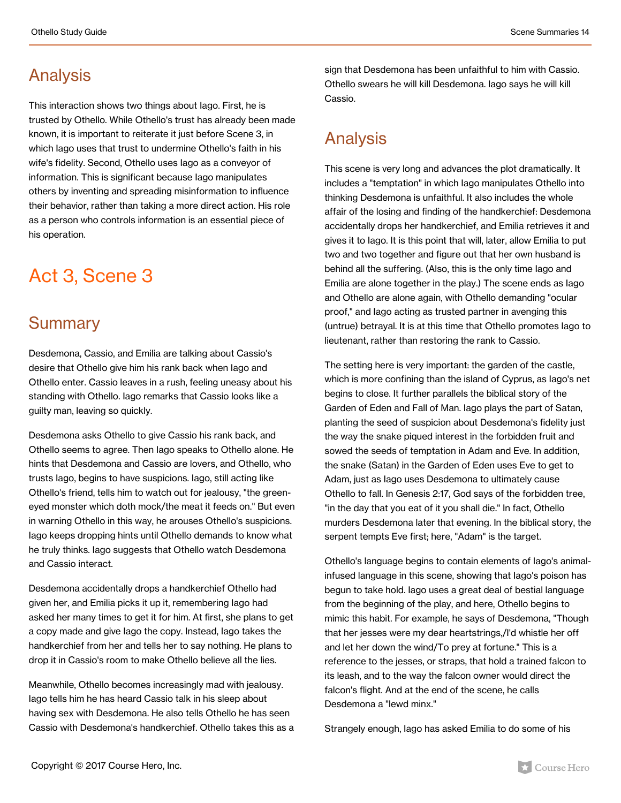### Analysis

This interaction shows two things about Iago. First, he is trusted by Othello. While Othello's trust has already been made known, it is important to reiterate it just before Scene 3, in which Iago uses that trust to undermine Othello's faith in his wife's fidelity. Second, Othello uses Iago as a conveyor of information. This is significant because Iago manipulates others by inventing and spreading misinformation to influence their behavior, rather than taking a more direct action. His role as a person who controls information is an essential piece of his operation.

## Act 3, Scene 3

#### **Summary**

Desdemona, Cassio, and Emilia are talking about Cassio's desire that Othello give him his rank back when Iago and Othello enter. Cassio leaves in a rush, feeling uneasy about his standing with Othello. Iago remarks that Cassio looks like a guilty man, leaving so quickly.

Desdemona asks Othello to give Cassio his rank back, and Othello seems to agree. Then Iago speaks to Othello alone. He hints that Desdemona and Cassio are lovers, and Othello, who trusts Iago, begins to have suspicions. Iago, still acting like Othello's friend, tells him to watch out for jealousy, "the greeneyed monster which doth mock/the meat it feeds on." But even in warning Othello in this way, he arouses Othello's suspicions. Iago keeps dropping hints until Othello demands to know what he truly thinks. Iago suggests that Othello watch Desdemona and Cassio interact.

Desdemona accidentally drops a handkerchief Othello had given her, and Emilia picks it up it, remembering Iago had asked her many times to get it for him. At first, she plans to get a copy made and give Iago the copy. Instead, Iago takes the handkerchief from her and tells her to say nothing. He plans to drop it in Cassio's room to make Othello believe all the lies.

Meanwhile, Othello becomes increasingly mad with jealousy. Iago tells him he has heard Cassio talk in his sleep about having sex with Desdemona. He also tells Othello he has seen Cassio with Desdemona's handkerchief. Othello takes this as a sign that Desdemona has been unfaithful to him with Cassio. Othello swears he will kill Desdemona. Iago says he will kill Cassio.

### Analysis

This scene is very long and advances the plot dramatically. It includes a "temptation" in which Iago manipulates Othello into thinking Desdemona is unfaithful. It also includes the whole affair of the losing and finding of the handkerchief: Desdemona accidentally drops her handkerchief, and Emilia retrieves it and gives it to Iago. It is this point that will, later, allow Emilia to put two and two together and figure out that her own husband is behind all the suffering. (Also, this is the only time Iago and Emilia are alone together in the play.) The scene ends as Iago and Othello are alone again, with Othello demanding "ocular proof," and Iago acting as trusted partner in avenging this (untrue) betrayal. It is at this time that Othello promotes Iago to lieutenant, rather than restoring the rank to Cassio.

The setting here is very important: the garden of the castle, which is more confining than the island of Cyprus, as Iago's net begins to close. It further parallels the biblical story of the Garden of Eden and Fall of Man. Iago plays the part of Satan, planting the seed of suspicion about Desdemona's fidelity just the way the snake piqued interest in the forbidden fruit and sowed the seeds of temptation in Adam and Eve. In addition, the snake (Satan) in the Garden of Eden uses Eve to get to Adam, just as Iago uses Desdemona to ultimately cause Othello to fall. In Genesis 2:17, God says of the forbidden tree, "in the day that you eat of it you shall die." In fact, Othello murders Desdemona later that evening. In the biblical story, the serpent tempts Eve first; here, "Adam" is the target.

Othello's language begins to contain elements of Iago's animalinfused language in this scene, showing that Iago's poison has begun to take hold. Iago uses a great deal of bestial language from the beginning of the play, and here, Othello begins to mimic this habit. For example, he says of Desdemona, "Though that her jesses were my dear heartstrings,/I'd whistle her off and let her down the wind/To prey at fortune." This is a reference to the jesses, or straps, that hold a trained falcon to its leash, and to the way the falcon owner would direct the falcon's flight. And at the end of the scene, he calls Desdemona a "lewd minx."

Strangely enough, Iago has asked Emilia to do some of his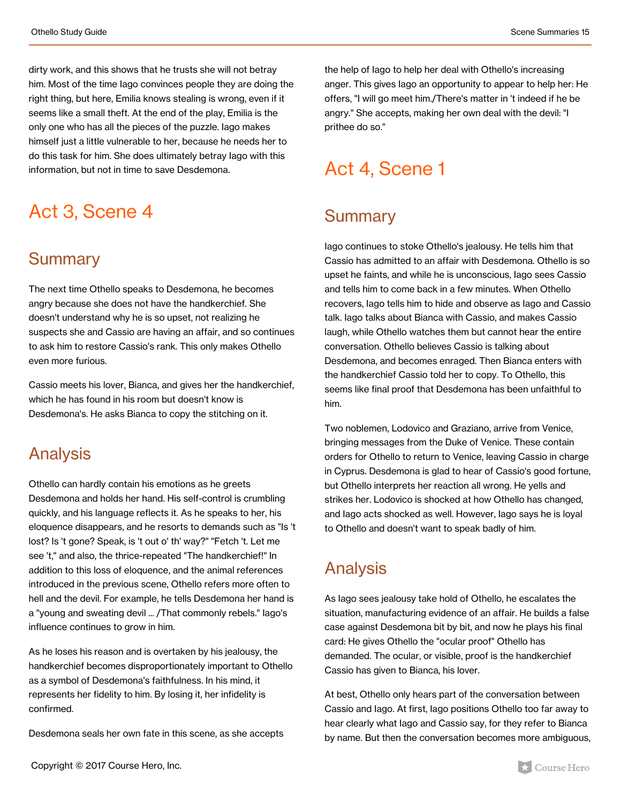dirty work, and this shows that he trusts she will not betray him. Most of the time Iago convinces people they are doing the right thing, but here, Emilia knows stealing is wrong, even if it seems like a small theft. At the end of the play, Emilia is the only one who has all the pieces of the puzzle. Iago makes himself just a little vulnerable to her, because he needs her to do this task for him. She does ultimately betray Iago with this information, but not in time to save Desdemona.

## Act 3, Scene 4

#### **Summary**

The next time Othello speaks to Desdemona, he becomes angry because she does not have the handkerchief. She doesn't understand why he is so upset, not realizing he suspects she and Cassio are having an affair, and so continues to ask him to restore Cassio's rank. This only makes Othello even more furious.

Cassio meets his lover, Bianca, and gives her the handkerchief, which he has found in his room but doesn't know is Desdemona's. He asks Bianca to copy the stitching on it.

#### Analysis

Othello can hardly contain his emotions as he greets Desdemona and holds her hand. His self-control is crumbling quickly, and his language reflects it. As he speaks to her, his eloquence disappears, and he resorts to demands such as "Is 't lost? Is 't gone? Speak, is 't out o' th' way?" "Fetch 't. Let me see 't," and also, the thrice-repeated "The handkerchief!" In addition to this loss of eloquence, and the animal references introduced in the previous scene, Othello refers more often to hell and the devil. For example, he tells Desdemona her hand is a "young and sweating devil ... /That commonly rebels." Iago's influence continues to grow in him.

As he loses his reason and is overtaken by his jealousy, the handkerchief becomes disproportionately important to Othello as a symbol of Desdemona's faithfulness. In his mind, it represents her fidelity to him. By losing it, her infidelity is confirmed.

Desdemona seals her own fate in this scene, as she accepts

the help of Iago to help her deal with Othello's increasing anger. This gives Iago an opportunity to appear to help her: He offers, "I will go meet him./There's matter in 't indeed if he be angry." She accepts, making her own deal with the devil: "I prithee do so."

### Act 4, Scene 1

#### **Summary**

Iago continues to stoke Othello's jealousy. He tells him that Cassio has admitted to an affair with Desdemona. Othello is so upset he faints, and while he is unconscious, Iago sees Cassio and tells him to come back in a few minutes. When Othello recovers, Iago tells him to hide and observe as Iago and Cassio talk. Iago talks about Bianca with Cassio, and makes Cassio laugh, while Othello watches them but cannot hear the entire conversation. Othello believes Cassio is talking about Desdemona, and becomes enraged. Then Bianca enters with the handkerchief Cassio told her to copy. To Othello, this seems like final proof that Desdemona has been unfaithful to him.

Two noblemen, Lodovico and Graziano, arrive from Venice, bringing messages from the Duke of Venice. These contain orders for Othello to return to Venice, leaving Cassio in charge in Cyprus. Desdemona is glad to hear of Cassio's good fortune, but Othello interprets her reaction all wrong. He yells and strikes her. Lodovico is shocked at how Othello has changed, and Iago acts shocked as well. However, Iago says he is loyal to Othello and doesn't want to speak badly of him.

### Analysis

As Iago sees jealousy take hold of Othello, he escalates the situation, manufacturing evidence of an affair. He builds a false case against Desdemona bit by bit, and now he plays his final card: He gives Othello the "ocular proof" Othello has demanded. The ocular, or visible, proof is the handkerchief Cassio has given to Bianca, his lover.

At best, Othello only hears part of the conversation between Cassio and Iago. At first, Iago positions Othello too far away to hear clearly what Iago and Cassio say, for they refer to Bianca by name. But then the conversation becomes more ambiguous,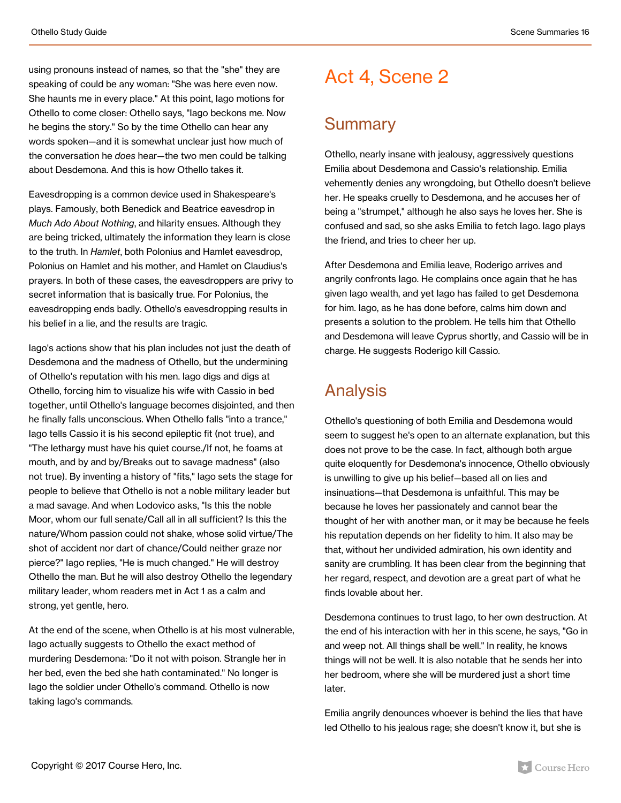using pronouns instead of names, so that the "she" they are speaking of could be any woman: "She was here even now. She haunts me in every place." At this point, Iago motions for Othello to come closer: Othello says, "Iago beckons me. Now he begins the story." So by the time Othello can hear any words spoken—and it is somewhat unclear just how much of the conversation he *does* hear—the two men could be talking about Desdemona. And this is how Othello takes it.

Eavesdropping is a common device used in Shakespeare's plays. Famously, both Benedick and Beatrice eavesdrop in *Much Ado About Nothing*, and hilarity ensues. Although they are being tricked, ultimately the information they learn is close to the truth. In *Hamlet*, both Polonius and Hamlet eavesdrop, Polonius on Hamlet and his mother, and Hamlet on Claudius's prayers. In both of these cases, the eavesdroppers are privy to secret information that is basically true. For Polonius, the eavesdropping ends badly. Othello's eavesdropping results in his belief in a lie, and the results are tragic.

Iago's actions show that his plan includes not just the death of Desdemona and the madness of Othello, but the undermining of Othello's reputation with his men. Iago digs and digs at Othello, forcing him to visualize his wife with Cassio in bed together, until Othello's language becomes disjointed, and then he finally falls unconscious. When Othello falls "into a trance," Iago tells Cassio it is his second epileptic fit (not true), and "The lethargy must have his quiet course./If not, he foams at mouth, and by and by/Breaks out to savage madness" (also not true). By inventing a history of "fits," Iago sets the stage for people to believe that Othello is not a noble military leader but a mad savage. And when Lodovico asks, "Is this the noble Moor, whom our full senate/Call all in all sufficient? Is this the nature/Whom passion could not shake, whose solid virtue/The shot of accident nor dart of chance/Could neither graze nor pierce?" Iago replies, "He is much changed." He will destroy Othello the man. But he will also destroy Othello the legendary military leader, whom readers met in Act 1 as a calm and strong, yet gentle, hero.

At the end of the scene, when Othello is at his most vulnerable, Iago actually suggests to Othello the exact method of murdering Desdemona: "Do it not with poison. Strangle her in her bed, even the bed she hath contaminated." No longer is Iago the soldier under Othello's command. Othello is now taking Iago's commands.

### Act 4, Scene 2

#### **Summary**

Othello, nearly insane with jealousy, aggressively questions Emilia about Desdemona and Cassio's relationship. Emilia vehemently denies any wrongdoing, but Othello doesn't believe her. He speaks cruelly to Desdemona, and he accuses her of being a "strumpet," although he also says he loves her. She is confused and sad, so she asks Emilia to fetch Iago. Iago plays the friend, and tries to cheer her up.

After Desdemona and Emilia leave, Roderigo arrives and angrily confronts Iago. He complains once again that he has given Iago wealth, and yet Iago has failed to get Desdemona for him. Iago, as he has done before, calms him down and presents a solution to the problem. He tells him that Othello and Desdemona will leave Cyprus shortly, and Cassio will be in charge. He suggests Roderigo kill Cassio.

### Analysis

Othello's questioning of both Emilia and Desdemona would seem to suggest he's open to an alternate explanation, but this does not prove to be the case. In fact, although both argue quite eloquently for Desdemona's innocence, Othello obviously is unwilling to give up his belief—based all on lies and insinuations—that Desdemona is unfaithful. This may be because he loves her passionately and cannot bear the thought of her with another man, or it may be because he feels his reputation depends on her fidelity to him. It also may be that, without her undivided admiration, his own identity and sanity are crumbling. It has been clear from the beginning that her regard, respect, and devotion are a great part of what he finds lovable about her.

Desdemona continues to trust Iago, to her own destruction. At the end of his interaction with her in this scene, he says, "Go in and weep not. All things shall be well." In reality, he knows things will not be well. It is also notable that he sends her into her bedroom, where she will be murdered just a short time later.

Emilia angrily denounces whoever is behind the lies that have led Othello to his jealous rage; she doesn't know it, but she is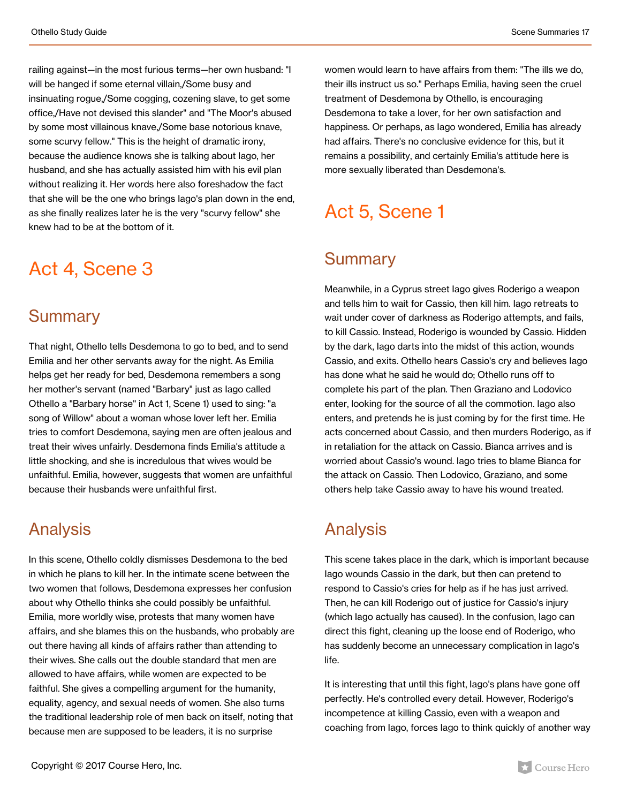railing against—in the most furious terms—her own husband: "I will be hanged if some eternal villain,/Some busy and insinuating rogue,/Some cogging, cozening slave, to get some office,/Have not devised this slander" and "The Moor's abused by some most villainous knave,/Some base notorious knave, some scurvy fellow." This is the height of dramatic irony, because the audience knows she is talking about Iago, her husband, and she has actually assisted him with his evil plan without realizing it. Her words here also foreshadow the fact that she will be the one who brings Iago's plan down in the end, as she finally realizes later he is the very "scurvy fellow" she knew had to be at the bottom of it.

### Act 4, Scene 3

#### **Summary**

That night, Othello tells Desdemona to go to bed, and to send Emilia and her other servants away for the night. As Emilia helps get her ready for bed, Desdemona remembers a song her mother's servant (named "Barbary" just as Iago called Othello a "Barbary horse" in Act 1, Scene 1) used to sing: "a song of Willow" about a woman whose lover left her. Emilia tries to comfort Desdemona, saying men are often jealous and treat their wives unfairly. Desdemona finds Emilia's attitude a little shocking, and she is incredulous that wives would be unfaithful. Emilia, however, suggests that women are unfaithful because their husbands were unfaithful first.

### Analysis

In this scene, Othello coldly dismisses Desdemona to the bed in which he plans to kill her. In the intimate scene between the two women that follows, Desdemona expresses her confusion about why Othello thinks she could possibly be unfaithful. Emilia, more worldly wise, protests that many women have affairs, and she blames this on the husbands, who probably are out there having all kinds of affairs rather than attending to their wives. She calls out the double standard that men are allowed to have affairs, while women are expected to be faithful. She gives a compelling argument for the humanity, equality, agency, and sexual needs of women. She also turns the traditional leadership role of men back on itself, noting that because men are supposed to be leaders, it is no surprise

women would learn to have affairs from them: "The ills we do, their ills instruct us so." Perhaps Emilia, having seen the cruel treatment of Desdemona by Othello, is encouraging Desdemona to take a lover, for her own satisfaction and happiness. Or perhaps, as Iago wondered, Emilia has already had affairs. There's no conclusive evidence for this, but it remains a possibility, and certainly Emilia's attitude here is more sexually liberated than Desdemona's.

## Act 5, Scene 1

### **Summary**

Meanwhile, in a Cyprus street Iago gives Roderigo a weapon and tells him to wait for Cassio, then kill him. Iago retreats to wait under cover of darkness as Roderigo attempts, and fails, to kill Cassio. Instead, Roderigo is wounded by Cassio. Hidden by the dark, Iago darts into the midst of this action, wounds Cassio, and exits. Othello hears Cassio's cry and believes Iago has done what he said he would do; Othello runs off to complete his part of the plan. Then Graziano and Lodovico enter, looking for the source of all the commotion. Iago also enters, and pretends he is just coming by for the first time. He acts concerned about Cassio, and then murders Roderigo, as if in retaliation for the attack on Cassio. Bianca arrives and is worried about Cassio's wound. Iago tries to blame Bianca for the attack on Cassio. Then Lodovico, Graziano, and some others help take Cassio away to have his wound treated.

### Analysis

This scene takes place in the dark, which is important because Iago wounds Cassio in the dark, but then can pretend to respond to Cassio's cries for help as if he has just arrived. Then, he can kill Roderigo out of justice for Cassio's injury (which Iago actually has caused). In the confusion, Iago can direct this fight, cleaning up the loose end of Roderigo, who has suddenly become an unnecessary complication in Iago's life.

It is interesting that until this fight, Iago's plans have gone off perfectly. He's controlled every detail. However, Roderigo's incompetence at killing Cassio, even with a weapon and coaching from Iago, forces Iago to think quickly of another way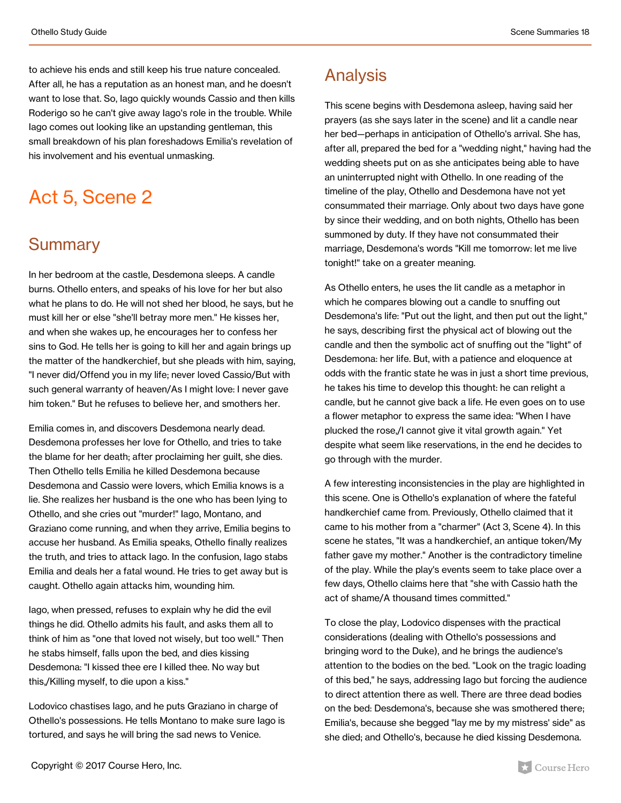to achieve his ends and still keep his true nature concealed. After all, he has a reputation as an honest man, and he doesn't want to lose that. So, Iago quickly wounds Cassio and then kills Roderigo so he can't give away Iago's role in the trouble. While Iago comes out looking like an upstanding gentleman, this small breakdown of his plan foreshadows Emilia's revelation of his involvement and his eventual unmasking.

## Act 5, Scene 2

#### **Summary**

In her bedroom at the castle, Desdemona sleeps. A candle burns. Othello enters, and speaks of his love for her but also what he plans to do. He will not shed her blood, he says, but he must kill her or else "she'll betray more men." He kisses her, and when she wakes up, he encourages her to confess her sins to God. He tells her is going to kill her and again brings up the matter of the handkerchief, but she pleads with him, saying, "I never did/Offend you in my life; never loved Cassio/But with such general warranty of heaven/As I might love: I never gave him token." But he refuses to believe her, and smothers her.

Emilia comes in, and discovers Desdemona nearly dead. Desdemona professes her love for Othello, and tries to take the blame for her death; after proclaiming her guilt, she dies. Then Othello tells Emilia he killed Desdemona because Desdemona and Cassio were lovers, which Emilia knows is a lie. She realizes her husband is the one who has been lying to Othello, and she cries out "murder!" Iago, Montano, and Graziano come running, and when they arrive, Emilia begins to accuse her husband. As Emilia speaks, Othello finally realizes the truth, and tries to attack Iago. In the confusion, Iago stabs Emilia and deals her a fatal wound. He tries to get away but is caught. Othello again attacks him, wounding him.

Iago, when pressed, refuses to explain why he did the evil things he did. Othello admits his fault, and asks them all to think of him as "one that loved not wisely, but too well." Then he stabs himself, falls upon the bed, and dies kissing Desdemona: "I kissed thee ere I killed thee. No way but this,/Killing myself, to die upon a kiss."

Lodovico chastises Iago, and he puts Graziano in charge of Othello's possessions. He tells Montano to make sure Iago is tortured, and says he will bring the sad news to Venice.

This scene begins with Desdemona asleep, having said her prayers (as she says later in the scene) and lit a candle near her bed—perhaps in anticipation of Othello's arrival. She has, after all, prepared the bed for a "wedding night," having had the wedding sheets put on as she anticipates being able to have an uninterrupted night with Othello. In one reading of the timeline of the play, Othello and Desdemona have not yet consummated their marriage. Only about two days have gone by since their wedding, and on both nights, Othello has been summoned by duty. If they have not consummated their marriage, Desdemona's words "Kill me tomorrow: let me live tonight!" take on a greater meaning.

As Othello enters, he uses the lit candle as a metaphor in which he compares blowing out a candle to snuffing out Desdemona's life: "Put out the light, and then put out the light," he says, describing first the physical act of blowing out the candle and then the symbolic act of snuffing out the "light" of Desdemona: her life. But, with a patience and eloquence at odds with the frantic state he was in just a short time previous, he takes his time to develop this thought: he can relight a candle, but he cannot give back a life. He even goes on to use a flower metaphor to express the same idea: "When I have plucked the rose,/I cannot give it vital growth again." Yet despite what seem like reservations, in the end he decides to go through with the murder.

A few interesting inconsistencies in the play are highlighted in this scene. One is Othello's explanation of where the fateful handkerchief came from. Previously, Othello claimed that it came to his mother from a "charmer" (Act 3, Scene 4). In this scene he states, "It was a handkerchief, an antique token/My father gave my mother." Another is the contradictory timeline of the play. While the play's events seem to take place over a few days, Othello claims here that "she with Cassio hath the act of shame/A thousand times committed."

To close the play, Lodovico dispenses with the practical considerations (dealing with Othello's possessions and bringing word to the Duke), and he brings the audience's attention to the bodies on the bed. "Look on the tragic loading of this bed," he says, addressing Iago but forcing the audience to direct attention there as well. There are three dead bodies on the bed: Desdemona's, because she was smothered there; Emilia's, because she begged "lay me by my mistress' side" as she died; and Othello's, because he died kissing Desdemona.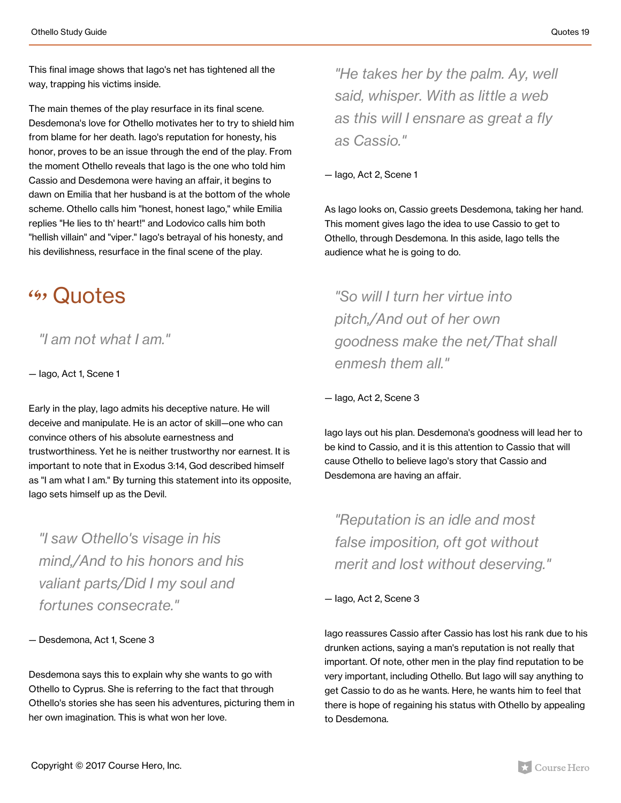This final image shows that Iago's net has tightened all the way, trapping his victims inside.

The main themes of the play resurface in its final scene. Desdemona's love for Othello motivates her to try to shield him from blame for her death. Iago's reputation for honesty, his honor, proves to be an issue through the end of the play. From the moment Othello reveals that Iago is the one who told him Cassio and Desdemona were having an affair, it begins to dawn on Emilia that her husband is at the bottom of the whole scheme. Othello calls him "honest, honest Iago," while Emilia replies "He lies to th' heart!" and Lodovico calls him both "hellish villain" and "viper." Iago's betrayal of his honesty, and his devilishness, resurface in the final scene of the play.

### **(4) Quotes**

*"I am not what I am."*

— Iago, Act 1, Scene 1

Early in the play, Iago admits his deceptive nature. He will deceive and manipulate. He is an actor of skill—one who can convince others of his absolute earnestness and trustworthiness. Yet he is neither trustworthy nor earnest. It is important to note that in Exodus 3:14, God described himself as "I am what I am." By turning this statement into its opposite, Iago sets himself up as the Devil.

*"I saw Othello's visage in his mind,/And to his honors and his valiant parts/Did I my soul and fortunes consecrate."*

— Desdemona, Act 1, Scene 3

Desdemona says this to explain why she wants to go with Othello to Cyprus. She is referring to the fact that through Othello's stories she has seen his adventures, picturing them in her own imagination. This is what won her love.

*"He takes her by the palm. Ay, well said, whisper. With as little a web as this will I ensnare as great a fly as Cassio."*

— Iago, Act 2, Scene 1

As Iago looks on, Cassio greets Desdemona, taking her hand. This moment gives Iago the idea to use Cassio to get to Othello, through Desdemona. In this aside, Iago tells the audience what he is going to do.

*"So will I turn her virtue into pitch,/And out of her own goodness make the net/That shall enmesh them all."*

— Iago, Act 2, Scene 3

Iago lays out his plan. Desdemona's goodness will lead her to be kind to Cassio, and it is this attention to Cassio that will cause Othello to believe Iago's story that Cassio and Desdemona are having an affair.

*"Reputation is an idle and most false imposition, oft got without merit and lost without deserving."*

— Iago, Act 2, Scene 3

Iago reassures Cassio after Cassio has lost his rank due to his drunken actions, saying a man's reputation is not really that important. Of note, other men in the play find reputation to be very important, including Othello. But Iago will say anything to get Cassio to do as he wants. Here, he wants him to feel that there is hope of regaining his status with Othello by appealing to Desdemona.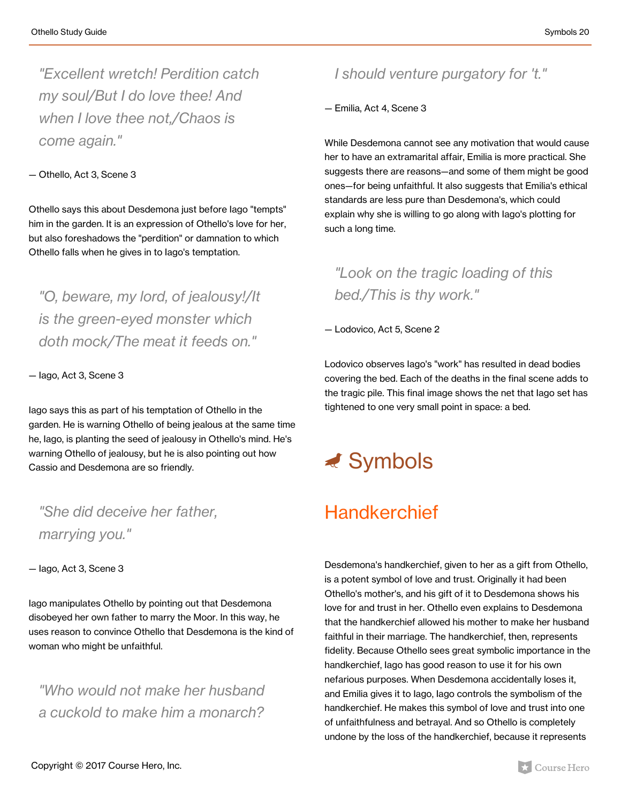*"Excellent wretch! Perdition catch my soul/But I do love thee! And when I love thee not,/Chaos is come again."*

#### — Othello, Act 3, Scene 3

Othello says this about Desdemona just before Iago "tempts" him in the garden. It is an expression of Othello's love for her, but also foreshadows the "perdition" or damnation to which Othello falls when he gives in to Iago's temptation.

*"O, beware, my lord, of jealousy!/It is the green-eyed monster which doth mock/The meat it feeds on."*

— Iago, Act 3, Scene 3

Iago says this as part of his temptation of Othello in the garden. He is warning Othello of being jealous at the same time he, Iago, is planting the seed of jealousy in Othello's mind. He's warning Othello of jealousy, but he is also pointing out how Cassio and Desdemona are so friendly.

*"She did deceive her father, marrying you."*

— Iago, Act 3, Scene 3

Iago manipulates Othello by pointing out that Desdemona disobeyed her own father to marry the Moor. In this way, he uses reason to convince Othello that Desdemona is the kind of woman who might be unfaithful.

*"Who would not make her husband a cuckold to make him a monarch?*

#### *I should venture purgatory for 't."*

— Emilia, Act 4, Scene 3

While Desdemona cannot see any motivation that would cause her to have an extramarital affair, Emilia is more practical. She suggests there are reasons—and some of them might be good ones—for being unfaithful. It also suggests that Emilia's ethical standards are less pure than Desdemona's, which could explain why she is willing to go along with Iago's plotting for such a long time.

### *"Look on the tragic loading of this bed./This is thy work."*

— Lodovico, Act 5, Scene 2

Lodovico observes Iago's "work" has resulted in dead bodies covering the bed. Each of the deaths in the final scene adds to the tragic pile. This final image shows the net that Iago set has tightened to one very small point in space: a bed.

## $\triangleleft$  Symbols

### **Handkerchief**

Desdemona's handkerchief, given to her as a gift from Othello, is a potent symbol of love and trust. Originally it had been Othello's mother's, and his gift of it to Desdemona shows his love for and trust in her. Othello even explains to Desdemona that the handkerchief allowed his mother to make her husband faithful in their marriage. The handkerchief, then, represents fidelity. Because Othello sees great symbolic importance in the handkerchief, Iago has good reason to use it for his own nefarious purposes. When Desdemona accidentally loses it, and Emilia gives it to Iago, Iago controls the symbolism of the handkerchief. He makes this symbol of love and trust into one of unfaithfulness and betrayal. And so Othello is completely undone by the loss of the handkerchief, because it represents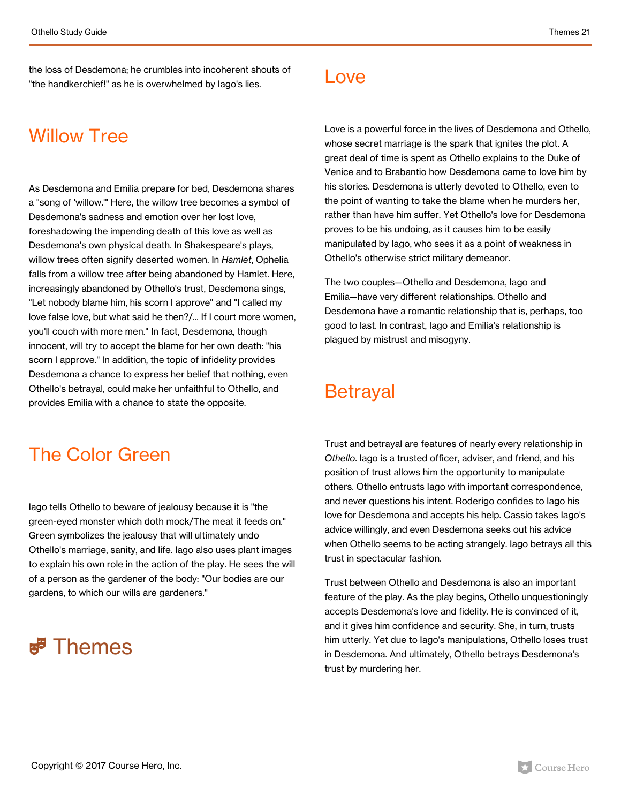the loss of Desdemona; he crumbles into incoherent shouts of "the handkerchief!" as he is overwhelmed by Iago's lies.

### Willow Tree

As Desdemona and Emilia prepare for bed, Desdemona shares a "song of 'willow.'" Here, the willow tree becomes a symbol of Desdemona's sadness and emotion over her lost love, foreshadowing the impending death of this love as well as Desdemona's own physical death. In Shakespeare's plays, willow trees often signify deserted women. In *Hamlet*, Ophelia falls from a willow tree after being abandoned by Hamlet. Here, increasingly abandoned by Othello's trust, Desdemona sings, "Let nobody blame him, his scorn I approve" and "I called my love false love, but what said he then?/... If I court more women, you'll couch with more men." In fact, Desdemona, though innocent, will try to accept the blame for her own death: "his scorn I approve." In addition, the topic of infidelity provides Desdemona a chance to express her belief that nothing, even Othello's betrayal, could make her unfaithful to Othello, and provides Emilia with a chance to state the opposite.

#### Love

Love is a powerful force in the lives of Desdemona and Othello, whose secret marriage is the spark that ignites the plot. A great deal of time is spent as Othello explains to the Duke of Venice and to Brabantio how Desdemona came to love him by his stories. Desdemona is utterly devoted to Othello, even to the point of wanting to take the blame when he murders her, rather than have him suffer. Yet Othello's love for Desdemona proves to be his undoing, as it causes him to be easily manipulated by Iago, who sees it as a point of weakness in Othello's otherwise strict military demeanor.

The two couples—Othello and Desdemona, Iago and Emilia—have very different relationships. Othello and Desdemona have a romantic relationship that is, perhaps, too good to last. In contrast, Iago and Emilia's relationship is plagued by mistrust and misogyny.

### Betrayal

### The Color Green

Iago tells Othello to beware of jealousy because it is "the green-eyed monster which doth mock/The meat it feeds on." Green symbolizes the jealousy that will ultimately undo Othello's marriage, sanity, and life. Iago also uses plant images to explain his own role in the action of the play. He sees the will of a person as the gardener of the body: "Our bodies are our gardens, to which our wills are gardeners."

### **E**<sup>3</sup> Themes

Trust and betrayal are features of nearly every relationship in *Othello*. Iago is a trusted officer, adviser, and friend, and his position of trust allows him the opportunity to manipulate others. Othello entrusts Iago with important correspondence, and never questions his intent. Roderigo confides to Iago his love for Desdemona and accepts his help. Cassio takes Iago's advice willingly, and even Desdemona seeks out his advice when Othello seems to be acting strangely. Iago betrays all this trust in spectacular fashion.

Trust between Othello and Desdemona is also an important feature of the play. As the play begins, Othello unquestioningly accepts Desdemona's love and fidelity. He is convinced of it, and it gives him confidence and security. She, in turn, trusts him utterly. Yet due to Iago's manipulations, Othello loses trust in Desdemona. And ultimately, Othello betrays Desdemona's trust by murdering her.